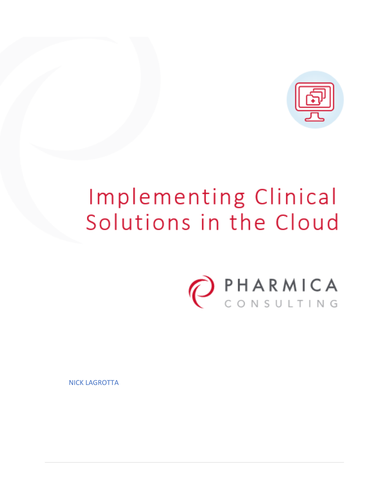

# Implementing Clinical Solutions in the Cloud



NICK LAGROTTA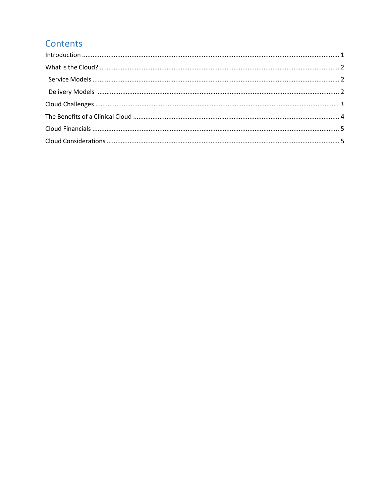# Contents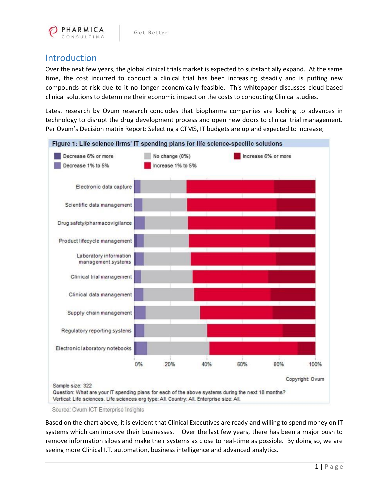

# Introduction

Over the next few years, the global clinical trials market is expected to substantially expand. At the same time, the cost incurred to conduct a clinical trial has been increasing steadily and is putting new compounds at risk due to it no longer economically feasible. This whitepaper discusses cloud-based clinical solutions to determine their economic impact on the costs to conducting Clinical studies.

Latest research by Ovum research concludes that biopharma companies are looking to advances in technology to disrupt the drug development process and open new doors to clinical trial management. Per Ovum's Decision matrix Report: Selecting a CTMS, IT budgets are up and expected to increase;



Source: Ovum ICT Enterprise Insights

Based on the chart above, it is evident that Clinical Executives are ready and willing to spend money on IT systems which can improve their businesses. Over the last few years, there has been a major push to remove information siloes and make their systems as close to real-time as possible. By doing so, we are seeing more Clinical I.T. automation, business intelligence and advanced analytics.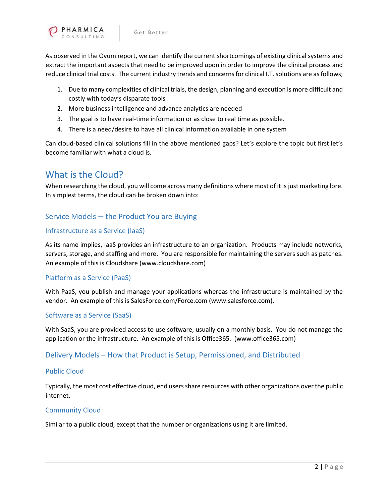As observed in the Ovum report, we can identify the current shortcomings of existing clinical systems and extract the important aspects that need to be improved upon in order to improve the clinical process and reduce clinical trial costs. The current industry trends and concerns for clinical I.T. solutions are as follows;

- 1. Due to many complexities of clinical trials, the design, planning and execution is more difficult and costly with today's disparate tools
- 2. More business intelligence and advance analytics are needed
- 3. The goal is to have real-time information or as close to real time as possible.
- 4. There is a need/desire to have all clinical information available in one system

Can cloud-based clinical solutions fill in the above mentioned gaps? Let's explore the topic but first let's become familiar with what a cloud is.

## What is the Cloud?

When researching the cloud, you will come across many definitions where most of it is just marketing lore. In simplest terms, the cloud can be broken down into:

### Service Models – the Product You are Buying

#### Infrastructure as a Service (IaaS)

As its name implies, IaaS provides an infrastructure to an organization. Products may include networks, servers, storage, and staffing and more. You are responsible for maintaining the servers such as patches. An example of this is Cloudshare (www.cloudshare.com)

#### Platform as a Service (PaaS)

With PaaS, you publish and manage your applications whereas the infrastructure is maintained by the vendor. An example of this is SalesForce.com/Force.com (www.salesforce.com).

#### Software as a Service (SaaS)

With SaaS, you are provided access to use software, usually on a monthly basis. You do not manage the application or the infrastructure. An example of this is Office365. (www.office365.com)

#### Delivery Models – How that Product is Setup, Permissioned, and Distributed

#### Public Cloud

Typically, the most cost effective cloud, end users share resources with other organizations over the public internet.

#### Community Cloud

Similar to a public cloud, except that the number or organizations using it are limited.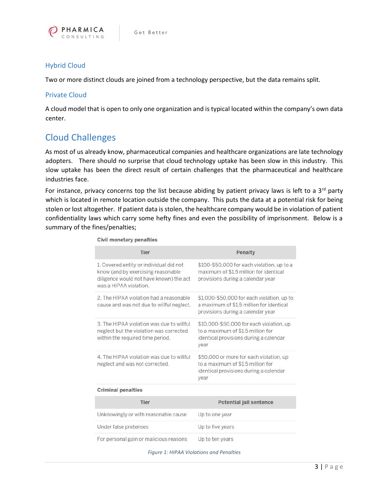

#### Hybrid Cloud

Two or more distinct clouds are joined from a technology perspective, but the data remains split.

#### Private Cloud

A cloud model that is open to only one organization and is typical located within the company's own data center.

# Cloud Challenges

As most of us already know, pharmaceutical companies and healthcare organizations are late technology adopters. There should no surprise that cloud technology uptake has been slow in this industry. This slow uptake has been the direct result of certain challenges that the pharmaceutical and healthcare industries face.

For instance, privacy concerns top the list because abiding by patient privacy laws is left to a  $3^{rd}$  party which is located in remote location outside the company. This puts the data at a potential risk for being stolen or lost altogether. If patient data is stolen, the healthcare company would be in violation of patient confidentiality laws which carry some hefty fines and even the possibility of imprisonment. Below is a summary of the fines/penalties;

Civil monetary penalties

| <b>Tier</b>                                                                                                                                        | Penalty                                                                                                                         |
|----------------------------------------------------------------------------------------------------------------------------------------------------|---------------------------------------------------------------------------------------------------------------------------------|
| 1. Covered entity or individual did not<br>know (and by exercising reasonable<br>diligence would not have known) the act<br>was a HIPAA violation. | \$100-\$50,000 for each violation, up to a<br>maximum of \$1.5 million for identical<br>provisions during a calendar year       |
| 2. The HIPAA violation had a reasonable<br>cause and was not due to willful neglect.                                                               | \$1,000-\$50,000 for each violation, up to<br>a maximum of \$1.5 million for identical<br>provisions during a calendar year     |
| 3. The HIPAA violation was due to willful<br>neglect but the violation was corrected<br>within the required time period.                           | \$10,000-\$50,000 for each violation, up<br>to a maximum of \$1.5 million for<br>identical provisions during a calendar<br>year |
| 4. The HIPAA violation was due to willful<br>neglect and was not corrected.                                                                        | \$50,000 or more for each violation, up<br>to a maximum of \$1.5 million for<br>identical provisions during a calendar<br>year  |
| <b>Criminal penalties</b>                                                                                                                          |                                                                                                                                 |
| Tier                                                                                                                                               | <b>Potential jail sentence</b>                                                                                                  |
| Unknowingly or with reasonable cause                                                                                                               | Up to one year                                                                                                                  |
| Under false pretenses                                                                                                                              | Up to five years                                                                                                                |
| and the company of the state of the state of the company of the state of the                                                                       |                                                                                                                                 |

For personal gain or malicious reasons Up to ten years

*Figure 1: HIPAA Violations and Penalties*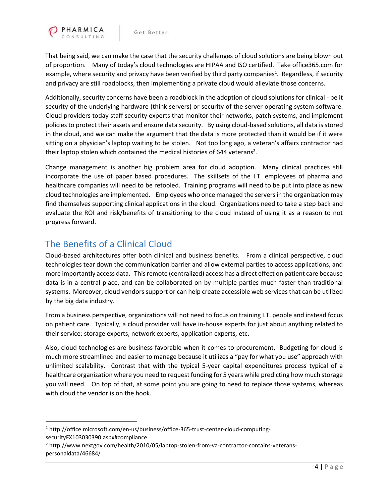

That being said, we can make the case that the security challenges of cloud solutions are being blown out of proportion. Many of today's cloud technologies are HIPAA and ISO certified. Take office365.com for example, where security and privacy have been verified by third party companies<sup>1</sup>. Regardless, if security and privacy are still roadblocks, then implementing a private cloud would alleviate those concerns.

Additionally, security concerns have been a roadblock in the adoption of cloud solutions for clinical - be it security of the underlying hardware (think servers) or security of the server operating system software. Cloud providers today staff security experts that monitor their networks, patch systems, and implement policies to protect their assets and ensure data security. By using cloud-based solutions, all data is stored in the cloud, and we can make the argument that the data is more protected than it would be if it were sitting on a physician's laptop waiting to be stolen. Not too long ago, a veteran's affairs contractor had their laptop stolen which contained the medical histories of 644 veterans<sup>2</sup>.

Change management is another big problem area for cloud adoption. Many clinical practices still incorporate the use of paper based procedures. The skillsets of the I.T. employees of pharma and healthcare companies will need to be retooled. Training programs will need to be put into place as new cloud technologies are implemented. Employees who once managed the servers in the organization may find themselves supporting clinical applications in the cloud. Organizations need to take a step back and evaluate the ROI and risk/benefits of transitioning to the cloud instead of using it as a reason to not progress forward.

# The Benefits of a Clinical Cloud

 $\overline{\phantom{a}}$ 

Cloud-based architectures offer both clinical and business benefits. From a clinical perspective, cloud technologies tear down the communication barrier and allow external parties to access applications, and more importantly access data. This remote (centralized) access has a direct effect on patient care because data is in a central place, and can be collaborated on by multiple parties much faster than traditional systems. Moreover, cloud vendors support or can help create accessible web services that can be utilized by the big data industry.

From a business perspective, organizations will not need to focus on training I.T. people and instead focus on patient care. Typically, a cloud provider will have in-house experts for just about anything related to their service; storage experts, network experts, application experts, etc.

Also, cloud technologies are business favorable when it comes to procurement. Budgeting for cloud is much more streamlined and easier to manage because it utilizes a "pay for what you use" approach with unlimited scalability. Contrast that with the typical 5-year capital expenditures process typical of a healthcare organization where you need to request funding for 5 years while predicting how much storage you will need. On top of that, at some point you are going to need to replace those systems, whereas with cloud the vendor is on the hook.

<sup>1</sup> http://office.microsoft.com/en-us/business/office-365-trust-center-cloud-computingsecurityFX103030390.aspx#compliance

<sup>2</sup> http://www.nextgov.com/health/2010/05/laptop-stolen-from-va-contractor-contains-veteranspersonaldata/46684/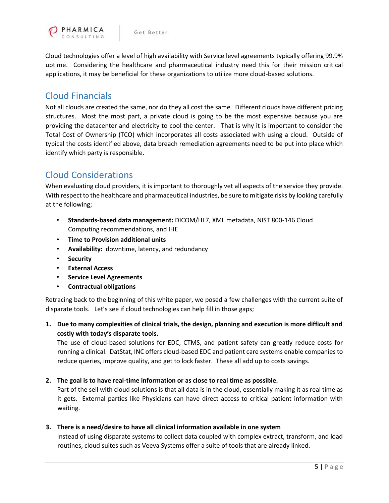

Cloud technologies offer a level of high availability with Service level agreements typically offering 99.9% uptime. Considering the healthcare and pharmaceutical industry need this for their mission critical applications, it may be beneficial for these organizations to utilize more cloud-based solutions.

## Cloud Financials

Not all clouds are created the same, nor do they all cost the same. Different clouds have different pricing structures. Most the most part, a private cloud is going to be the most expensive because you are providing the datacenter and electricity to cool the center. That is why it is important to consider the Total Cost of Ownership (TCO) which incorporates all costs associated with using a cloud. Outside of typical the costs identified above, data breach remediation agreements need to be put into place which identify which party is responsible.

# Cloud Considerations

When evaluating cloud providers, it is important to thoroughly vet all aspects of the service they provide. With respect to the healthcare and pharmaceutical industries, be sure to mitigate risks by looking carefully at the following;

- **Standards-based data management:** DICOM/HL7, XML metadata, NIST 800-146 Cloud Computing recommendations, and IHE
- **Time to Provision additional units**
- **Availability:** downtime, latency, and redundancy
- **Security**
- **External Access**
- **Service Level Agreements**
- **Contractual obligations**

Retracing back to the beginning of this white paper, we posed a few challenges with the current suite of disparate tools. Let's see if cloud technologies can help fill in those gaps;

**1. Due to many complexities of clinical trials, the design, planning and execution is more difficult and costly with today's disparate tools.** 

The use of cloud-based solutions for EDC, CTMS, and patient safety can greatly reduce costs for running a clinical. DatStat, INC offers cloud-based EDC and patient care systems enable companies to reduce queries, improve quality, and get to lock faster. These all add up to costs savings.

#### **2. The goal is to have real-time information or as close to real time as possible.**

Part of the sell with cloud solutions is that all data is in the cloud, essentially making it as real time as it gets. External parties like Physicians can have direct access to critical patient information with waiting.

#### **3. There is a need/desire to have all clinical information available in one system**

Instead of using disparate systems to collect data coupled with complex extract, transform, and load routines, cloud suites such as Veeva Systems offer a suite of tools that are already linked.